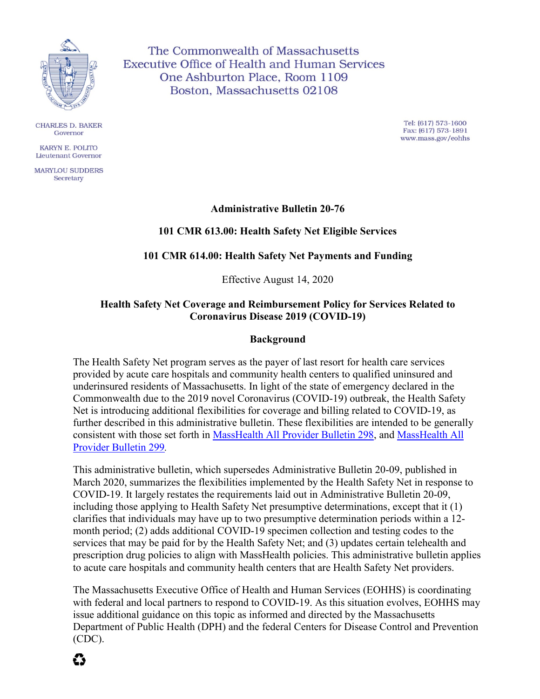

**CHARLES D. BAKER** Governor

**KARYN E. POLITO Lieutenant Governor** 

**MARYLOU SUDDERS** Secretary

The Commonwealth of Massachusetts **Executive Office of Health and Human Services** One Ashburton Place, Room 1109 Boston, Massachusetts 02108

> Tel: (617) 573-1600 Fax: (617) 573-1891 www.mass.gov/eohhs

## **Administrative Bulletin 20-76**

## **101 CMR 613.00: Health Safety Net Eligible Services**

### **101 CMR 614.00: Health Safety Net Payments and Funding**

Effective August 14, 2020

## **Health Safety Net Coverage and Reimbursement Policy for Services Related to Coronavirus Disease 2019 (COVID-19)**

### **Background**

The Health Safety Net program serves as the payer of last resort for health care services provided by acute care hospitals and community health centers to qualified uninsured and underinsured residents of Massachusetts. In light of the state of emergency declared in the Commonwealth due to the 2019 novel Coronavirus (COVID-19) outbreak, the Health Safety Net is introducing additional flexibilities for coverage and billing related to COVID-19, as further described in this administrative bulletin. These flexibilities are intended to be generally consistent with those set forth in [MassHealth All Provider Bulletin 298](https://www.mass.gov/doc/all-provider-bulletin-298-masshealth-telehealth-policy-0/download), and [MassHealth All](https://www.mass.gov/doc/all-provider-bulletin-299-hospital-determined-presumptive-eligibility-hpe-updates-during-covid/download)  [Provider Bulletin 299](https://www.mass.gov/doc/all-provider-bulletin-299-hospital-determined-presumptive-eligibility-hpe-updates-during-covid/download)*.*

This administrative bulletin, which supersedes Administrative Bulletin 20-09, published in March 2020, summarizes the flexibilities implemented by the Health Safety Net in response to COVID-19. It largely restates the requirements laid out in Administrative Bulletin 20-09, including those applying to Health Safety Net presumptive determinations, except that it (1) clarifies that individuals may have up to two presumptive determination periods within a 12 month period; (2) adds additional COVID-19 specimen collection and testing codes to the services that may be paid for by the Health Safety Net; and (3) updates certain telehealth and prescription drug policies to align with MassHealth policies. This administrative bulletin applies to acute care hospitals and community health centers that are Health Safety Net providers.

The Massachusetts Executive Office of Health and Human Services (EOHHS) is coordinating with federal and local partners to respond to COVID-19. As this situation evolves, EOHHS may issue additional guidance on this topic as informed and directed by the Massachusetts Department of Public Health (DPH) and the federal Centers for Disease Control and Prevention (CDC).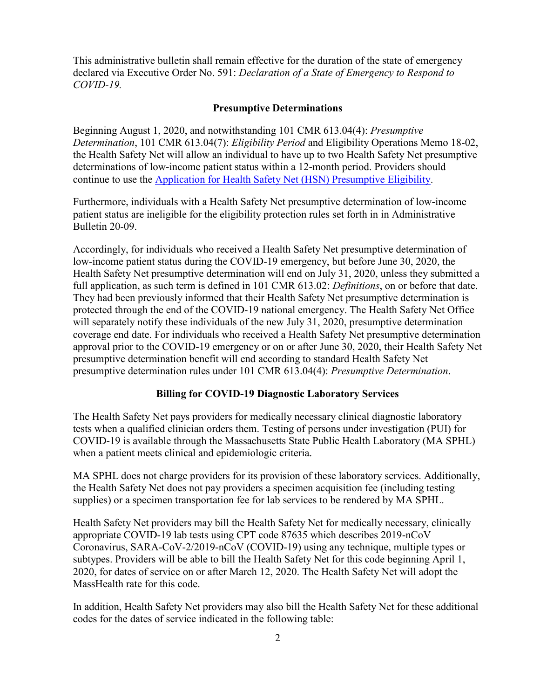This administrative bulletin shall remain effective for the duration of the state of emergency declared via [Executive Order No. 591](https://www.mass.gov/executive-orders/no-591-declaration-of-a-state-of-emergency-to-respond-to-covid-19): *Declaration of a State of Emergency to Respond to COVID-19.* 

### **Presumptive Determinations**

Beginning August 1, 2020, and notwithstanding 101 CMR 613.04(4): *Presumptive Determination*, 101 CMR 613.04(7): *Eligibility Period* and Eligibility Operations Memo 18-02, the Health Safety Net will allow an individual to have up to two Health Safety Net presumptive determinations of low-income patient status within a 12-month period. Providers should continue to use the [Application for Health Safety Net \(HSN\) Presumptive Eligibility](https://www.mass.gov/doc/application-for-health-safety-net-hsn-presumptive-determination-effective-0319-0/download).

Furthermore, individuals with a Health Safety Net presumptive determination of low-income patient status are ineligible for the eligibility protection rules set forth in in Administrative Bulletin 20-09.

Accordingly, for individuals who received a Health Safety Net presumptive determination of low-income patient status during the COVID-19 emergency, but before June 30, 2020, the Health Safety Net presumptive determination will end on July 31, 2020, unless they submitted a full application, as such term is defined in 101 CMR 613.02: *Definitions*, on or before that date. They had been previously informed that their Health Safety Net presumptive determination is protected through the end of the COVID-19 national emergency. The Health Safety Net Office will separately notify these individuals of the new July 31, 2020, presumptive determination coverage end date. For individuals who received a Health Safety Net presumptive determination approval prior to the COVID-19 emergency or on or after June 30, 2020, their Health Safety Net presumptive determination benefit will end according to standard Health Safety Net presumptive determination rules under 101 CMR 613.04(4): *Presumptive Determination*.

### **Billing for COVID-19 Diagnostic Laboratory Services**

The Health Safety Net pays providers for medically necessary clinical diagnostic laboratory tests when a qualified clinician orders them. Testing of persons under investigation (PUI) for COVID-19 is available through the Massachusetts State Public Health Laboratory (MA SPHL) when a patient meets clinical and epidemiologic criteria.

MA SPHL does not charge providers for its provision of these laboratory services. Additionally, the Health Safety Net does not pay providers a specimen acquisition fee (including testing supplies) or a specimen transportation fee for lab services to be rendered by MA SPHL.

Health Safety Net providers may bill the Health Safety Net for medically necessary, clinically appropriate COVID-19 lab tests using CPT code 87635 which describes 2019-nCoV Coronavirus, SARA-CoV-2/2019-nCoV (COVID-19) using any technique, multiple types or subtypes. Providers will be able to bill the Health Safety Net for this code beginning April 1, 2020, for dates of service on or after March 12, 2020. The Health Safety Net will adopt the MassHealth rate for this code.

In addition, Health Safety Net providers may also bill the Health Safety Net for these additional codes for the dates of service indicated in the following table: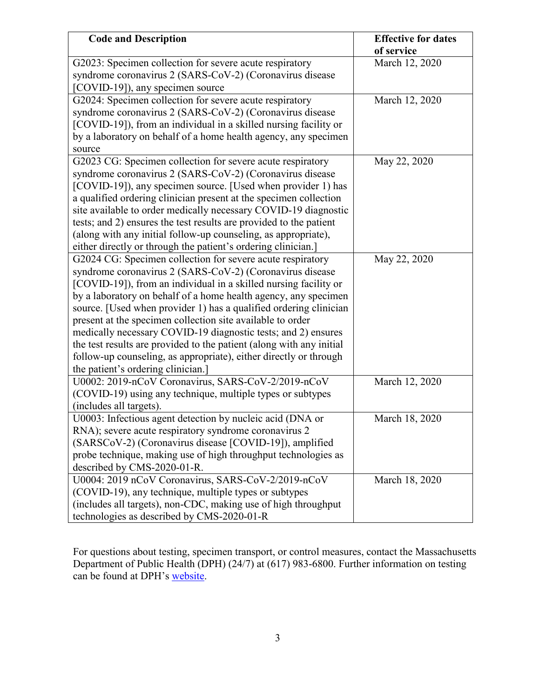| <b>Code and Description</b>                                                                                                                                                                                                                                                                                                                                                                                                                                                                                                                                                                                                                          | <b>Effective for dates</b><br>of service |
|------------------------------------------------------------------------------------------------------------------------------------------------------------------------------------------------------------------------------------------------------------------------------------------------------------------------------------------------------------------------------------------------------------------------------------------------------------------------------------------------------------------------------------------------------------------------------------------------------------------------------------------------------|------------------------------------------|
| G2023: Specimen collection for severe acute respiratory<br>syndrome coronavirus 2 (SARS-CoV-2) (Coronavirus disease<br>[COVID-19]), any specimen source                                                                                                                                                                                                                                                                                                                                                                                                                                                                                              | March 12, 2020                           |
| G2024: Specimen collection for severe acute respiratory<br>syndrome coronavirus 2 (SARS-CoV-2) (Coronavirus disease<br>[COVID-19]), from an individual in a skilled nursing facility or<br>by a laboratory on behalf of a home health agency, any specimen<br>source                                                                                                                                                                                                                                                                                                                                                                                 | March 12, 2020                           |
| G2023 CG: Specimen collection for severe acute respiratory<br>syndrome coronavirus 2 (SARS-CoV-2) (Coronavirus disease<br>[COVID-19]), any specimen source. [Used when provider 1) has<br>a qualified ordering clinician present at the specimen collection<br>site available to order medically necessary COVID-19 diagnostic<br>tests; and 2) ensures the test results are provided to the patient<br>(along with any initial follow-up counseling, as appropriate),<br>either directly or through the patient's ordering clinician.]                                                                                                              | May 22, 2020                             |
| G2024 CG: Specimen collection for severe acute respiratory<br>syndrome coronavirus 2 (SARS-CoV-2) (Coronavirus disease<br>[COVID-19]), from an individual in a skilled nursing facility or<br>by a laboratory on behalf of a home health agency, any specimen<br>source. [Used when provider 1) has a qualified ordering clinician<br>present at the specimen collection site available to order<br>medically necessary COVID-19 diagnostic tests; and 2) ensures<br>the test results are provided to the patient (along with any initial<br>follow-up counseling, as appropriate), either directly or through<br>the patient's ordering clinician.] | May 22, 2020                             |
| U0002: 2019-nCoV Coronavirus, SARS-CoV-2/2019-nCoV<br>(COVID-19) using any technique, multiple types or subtypes<br>(includes all targets).                                                                                                                                                                                                                                                                                                                                                                                                                                                                                                          | March 12, 2020                           |
| U0003: Infectious agent detection by nucleic acid (DNA or<br>RNA); severe acute respiratory syndrome coronavirus 2<br>(SARSCoV-2) (Coronavirus disease [COVID-19]), amplified<br>probe technique, making use of high throughput technologies as<br>described by CMS-2020-01-R.                                                                                                                                                                                                                                                                                                                                                                       | March 18, 2020                           |
| U0004: 2019 nCoV Coronavirus, SARS-CoV-2/2019-nCoV<br>(COVID-19), any technique, multiple types or subtypes<br>(includes all targets), non-CDC, making use of high throughput<br>technologies as described by CMS-2020-01-R                                                                                                                                                                                                                                                                                                                                                                                                                          | March 18, 2020                           |

For questions about testing, specimen transport, or control measures, contact the Massachusetts Department of Public Health (DPH) (24/7) at (617) 983-6800. Further information on testing can be found at DPH's [website.](https://www.mass.gov/orgs/department-of-public-health)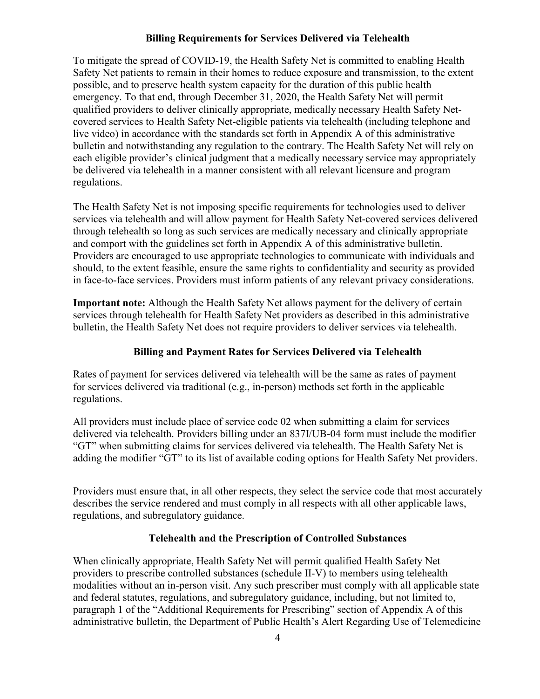### **Billing Requirements for Services Delivered via Telehealth**

To mitigate the spread of COVID-19, the Health Safety Net is committed to enabling Health Safety Net patients to remain in their homes to reduce exposure and transmission, to the extent possible, and to preserve health system capacity for the duration of this public health emergency. To that end, through December 31, 2020, the Health Safety Net will permit qualified providers to deliver clinically appropriate, medically necessary Health Safety Netcovered services to Health Safety Net-eligible patients via telehealth (including telephone and live video) in accordance with the standards set forth in Appendix A of this administrative bulletin and notwithstanding any regulation to the contrary. The Health Safety Net will rely on each eligible provider's clinical judgment that a medically necessary service may appropriately be delivered via telehealth in a manner consistent with all relevant licensure and program regulations.

The Health Safety Net is not imposing specific requirements for technologies used to deliver services via telehealth and will allow payment for Health Safety Net-covered services delivered through telehealth so long as such services are medically necessary and clinically appropriate and comport with the guidelines set forth in Appendix A of this administrative bulletin. Providers are encouraged to use appropriate technologies to communicate with individuals and should, to the extent feasible, ensure the same rights to confidentiality and security as provided in face-to-face services. Providers must inform patients of any relevant privacy considerations.

**Important note:** Although the Health Safety Net allows payment for the delivery of certain services through telehealth for Health Safety Net providers as described in this administrative bulletin, the Health Safety Net does not require providers to deliver services via telehealth.

### **Billing and Payment Rates for Services Delivered via Telehealth**

Rates of payment for services delivered via telehealth will be the same as rates of payment for services delivered via traditional (e.g., in-person) methods set forth in the applicable regulations.

All providers must include place of service code 02 when submitting a claim for services delivered via telehealth. Providers billing under an 837I/UB-04 form must include the modifier "GT" when submitting claims for services delivered via telehealth. The Health Safety Net is adding the modifier "GT" to its list of available coding options for Health Safety Net providers.

Providers must ensure that, in all other respects, they select the service code that most accurately describes the service rendered and must comply in all respects with all other applicable laws, regulations, and subregulatory guidance.

### **Telehealth and the Prescription of Controlled Substances**

When clinically appropriate, Health Safety Net will permit qualified Health Safety Net providers to prescribe controlled substances (schedule II-V) to members using telehealth modalities without an in-person visit. Any such prescriber must comply with all applicable state and federal statutes, regulations, and subregulatory guidance, including, but not limited to, paragraph 1 of the "Additional Requirements for Prescribing" section of Appendix A of this administrative bulletin, the Department of Public Health's Alert Regarding Use of Telemedicine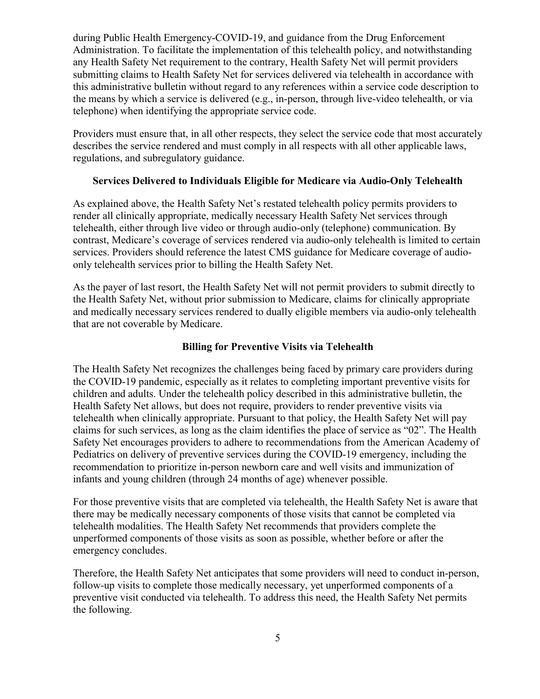during Public Health Emergency-COVID-19, and [guidance](https://www.deadiversion.usdoj.gov/coronavirus.html#TELE) from the Drug Enforcement Administration. To facilitate the implementation of this telehealth policy, and notwithstanding any Health Safety Net requirement to the contrary, Health Safety Net will permit providers submitting claims to Health Safety Net for services delivered via telehealth in accordance with this administrative bulletin without regard to any references within a service code description to the means by which a service is delivered (e.g., in-person, through live-video telehealth, or via telephone) when identifying the appropriate service code.

Providers must ensure that, in all other respects, they select the service code that most accurately describes the service rendered and must comply in all respects with all other applicable laws, regulations, and subregulatory guidance.

### **Services Delivered to Individuals Eligible for Medicare via Audio-Only Telehealth**

As explained above, the Health Safety Net's restated telehealth policy permits providers to render all clinically appropriate, medically necessary Health Safety Net services through telehealth, either through live video or through audio-only (telephone) communication. By contrast, Medicare's coverage of services rendered via audio-only telehealth is limited to certain services. Providers should reference the latest CMS guidance for Medicare coverage of audioonly telehealth services prior to billing the Health Safety Net.

As the payer of last resort, the Health Safety Net will not permit providers to submit directly to the Health Safety Net, without prior submission to Medicare, claims for clinically appropriate and medically necessary services rendered to dually eligible members via audio-only telehealth that are not coverable by Medicare.

### **Billing for Preventive Visits via Telehealth**

The Health Safety Net recognizes the challenges being faced by primary care providers during the COVID-19 pandemic, especially as it relates to completing important preventive visits for children and adults. Under the telehealth policy described in this administrative bulletin, the Health Safety Net allows, but does not require, providers to render preventive visits via telehealth when clinically appropriate. Pursuant to that policy, the Health Safety Net will pay claims for such services, as long as the claim identifies the place of service as "02". The Health Safety Net encourages providers to adhere to [recommendations from the American Academy of](https://services.aap.org/en/pages/2019-novel-coronavirus-covid-19-infections/#ClinicalGuidance)  [Pediatrics](https://services.aap.org/en/pages/2019-novel-coronavirus-covid-19-infections/#ClinicalGuidance) on delivery of preventive services during the COVID-19 emergency, including the recommendation to prioritize in-person newborn care and well visits and immunization of infants and young children (through 24 months of age) whenever possible.

For those preventive visits that are completed via telehealth, the Health Safety Net is aware that there may be medically necessary components of those visits that cannot be completed via telehealth modalities. The Health Safety Net recommends that providers complete the unperformed components of those visits as soon as possible, whether before or after the emergency concludes.

Therefore, the Health Safety Net anticipates that some providers will need to conduct in-person, follow-up visits to complete those medically necessary, yet unperformed components of a preventive visit conducted via telehealth. To address this need, the Health Safety Net permits the following.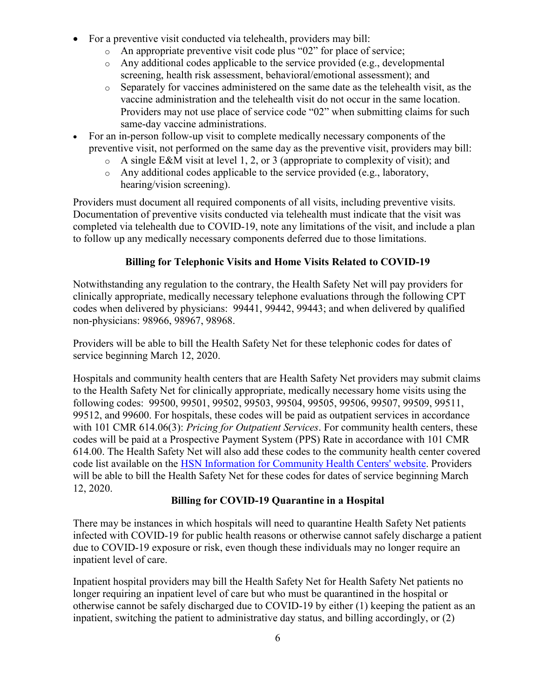- For a preventive visit conducted via telehealth, providers may bill:
	- o An appropriate preventive visit code plus "02" for place of service;
	- o Any additional codes applicable to the service provided (e.g., developmental screening, health risk assessment, behavioral/emotional assessment); and
	- o Separately for vaccines administered on the same date as the telehealth visit, as the vaccine administration and the telehealth visit do not occur in the same location. Providers may not use place of service code "02" when submitting claims for such same-day vaccine administrations.
- · For an in-person follow-up visit to complete medically necessary components of the preventive visit, not performed on the same day as the preventive visit, providers may bill:
	- $\circ$  A single E&M visit at level 1, 2, or 3 (appropriate to complexity of visit); and
	- o Any additional codes applicable to the service provided (e.g., laboratory, hearing/vision screening).

Providers must document all required components of all visits, including preventive visits. Documentation of preventive visits conducted via telehealth must indicate that the visit was completed via telehealth due to COVID-19, note any limitations of the visit, and include a plan to follow up any medically necessary components deferred due to those limitations.

# **Billing for Telephonic Visits and Home Visits Related to COVID-19**

Notwithstanding any regulation to the contrary, the Health Safety Net will pay providers for clinically appropriate, medically necessary telephone evaluations through the following CPT codes when delivered by physicians: 99441, 99442, 99443; and when delivered by qualified non-physicians: 98966, 98967, 98968.

Providers will be able to bill the Health Safety Net for these telephonic codes for dates of service beginning March 12, 2020.

Hospitals and community health centers that are Health Safety Net providers may submit claims to the Health Safety Net for clinically appropriate, medically necessary home visits using the following codes: 99500, 99501, 99502, 99503, 99504, 99505, 99506, 99507, 99509, 99511, 99512, and 99600. For hospitals, these codes will be paid as outpatient services in accordance with 101 CMR 614.06(3): *Pricing for Outpatient Services*. For community health centers, these codes will be paid at a Prospective Payment System (PPS) Rate in accordance with 101 CMR 614.00. The Health Safety Net will also add these codes to the community health center covered code list available on the [HSN Information for Community Health Centers'](https://www.mass.gov/service-details/hsn-information-for-community-health-centers-chc) website. Providers will be able to bill the Health Safety Net for these codes for dates of service beginning March 12, 2020.

# **Billing for COVID-19 Quarantine in a Hospital**

There may be instances in which hospitals will need to quarantine Health Safety Net patients infected with COVID-19 for public health reasons or otherwise cannot safely discharge a patient due to COVID-19 exposure or risk, even though these individuals may no longer require an inpatient level of care.

Inpatient hospital providers may bill the Health Safety Net for Health Safety Net patients no longer requiring an inpatient level of care but who must be quarantined in the hospital or otherwise cannot be safely discharged due to COVID-19 by either (1) keeping the patient as an inpatient, switching the patient to administrative day status, and billing accordingly, or (2)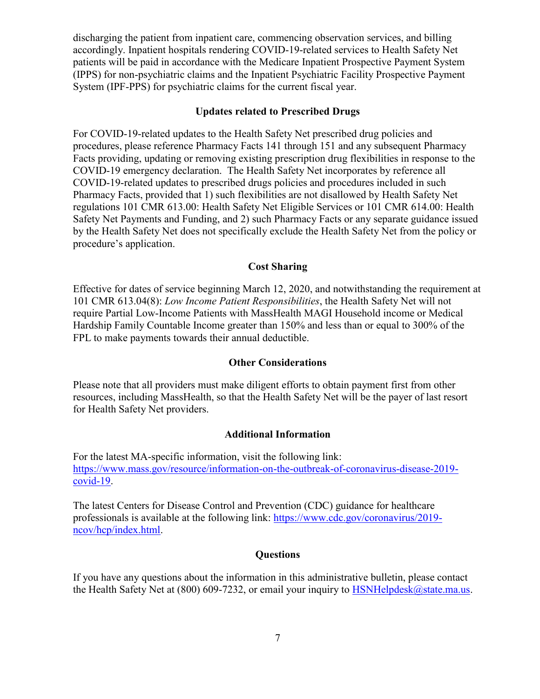discharging the patient from inpatient care, commencing observation services, and billing accordingly. Inpatient hospitals rendering COVID-19-related services to Health Safety Net patients will be paid in accordance with the Medicare Inpatient Prospective Payment System (IPPS) for non-psychiatric claims and the Inpatient Psychiatric Facility Prospective Payment System (IPF-PPS) for psychiatric claims for the current fiscal year.

#### **Updates related to Prescribed Drugs**

For COVID-19-related updates to the Health Safety Net prescribed drug policies and procedures, please reference Pharmacy Facts 141 through 151 and any subsequent Pharmacy Facts providing, updating or removing existing prescription drug flexibilities in response to the COVID-19 emergency declaration. The Health Safety Net incorporates by reference all COVID-19-related updates to prescribed drugs policies and procedures included in such Pharmacy Facts, provided that 1) such flexibilities are not disallowed by Health Safety Net regulations 101 CMR 613.00: Health Safety Net Eligible Services or 101 CMR 614.00: Health Safety Net Payments and Funding, and 2) such Pharmacy Facts or any separate guidance issued by the Health Safety Net does not specifically exclude the Health Safety Net from the policy or procedure's application.

### **Cost Sharing**

Effective for dates of service beginning March 12, 2020, and notwithstanding the requirement at 101 CMR 613.04(8): *Low Income Patient Responsibilities*, the Health Safety Net will not require Partial Low-Income Patients with MassHealth MAGI Household income or Medical Hardship Family Countable Income greater than 150% and less than or equal to 300% of the FPL to make payments towards their annual deductible.

#### **Other Considerations**

Please note that all providers must make diligent efforts to obtain payment first from other resources, including MassHealth, so that the Health Safety Net will be the payer of last resort for Health Safety Net providers.

### **Additional Information**

For the latest MA-specific information, visit the following link: [https://www.mass.gov/resource/information-on-the-outbreak-of-coronavirus-disease-2019](C:\Users\dande\Downloads\www.mass.gov\resource\information-on-the-outbreak-of-coronavirus-disease-2019-covid-19) [covid-19](C:\Users\dande\Downloads\www.mass.gov\resource\information-on-the-outbreak-of-coronavirus-disease-2019-covid-19).

The latest Centers for Disease Control and Prevention (CDC) guidance for healthcare professionals is available at the following link: [https://www.cdc.gov/coronavirus/2019](C:\Users\dande\Downloads\www.cdc.gov\coronavirus\2019-ncov\hcp\index.html) [ncov/hcp/index.html.](C:\Users\dande\Downloads\www.cdc.gov\coronavirus\2019-ncov\hcp\index.html)

### **Questions**

If you have any questions about the information in this administrative bulletin, please contact the Health Safety Net at (800) 609-7232, or email your inquiry to [HSNHelpdesk@state.ma.us](mailto:HSNHelpdesk@state.ma.us).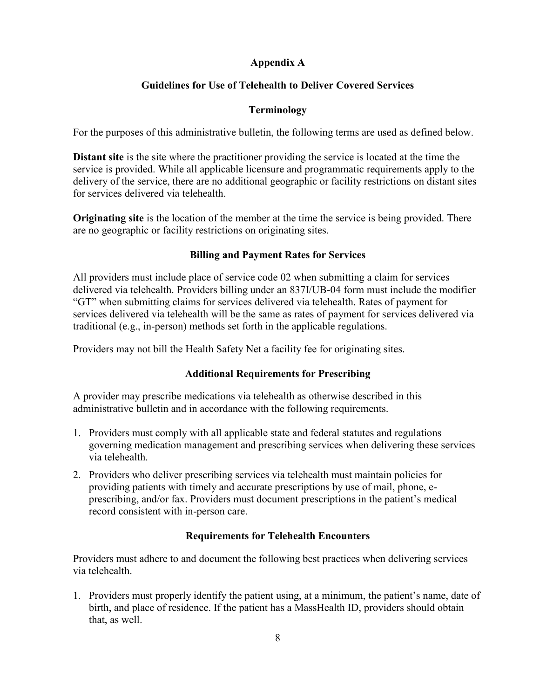## **Appendix A**

# **Guidelines for Use of Telehealth to Deliver Covered Services**

## **Terminology**

For the purposes of this administrative bulletin, the following terms are used as defined below.

**Distant site** is the site where the practitioner providing the service is located at the time the service is provided. While all applicable licensure and programmatic requirements apply to the delivery of the service, there are no additional geographic or facility restrictions on distant sites for services delivered via telehealth.

**Originating site** is the location of the member at the time the service is being provided. There are no geographic or facility restrictions on originating sites.

## **Billing and Payment Rates for Services**

All providers must include place of service code 02 when submitting a claim for services delivered via telehealth. Providers billing under an 837I/UB-04 form must include the modifier "GT" when submitting claims for services delivered via telehealth. Rates of payment for services delivered via telehealth will be the same as rates of payment for services delivered via traditional (e.g., in-person) methods set forth in the applicable regulations.

Providers may not bill the Health Safety Net a facility fee for originating sites.

## **Additional Requirements for Prescribing**

A provider may prescribe medications via telehealth as otherwise described in this administrative bulletin and in accordance with the following requirements.

- 1. Providers must comply with all applicable state and federal statutes and regulations governing medication management and prescribing services when delivering these services via telehealth.
- 2. Providers who deliver prescribing services via telehealth must maintain policies for providing patients with timely and accurate prescriptions by use of mail, phone, eprescribing, and/or fax. Providers must document prescriptions in the patient's medical record consistent with in-person care.

## **Requirements for Telehealth Encounters**

Providers must adhere to and document the following best practices when delivering services via telehealth.

1. Providers must properly identify the patient using, at a minimum, the patient's name, date of birth, and place of residence. If the patient has a MassHealth ID, providers should obtain that, as well.